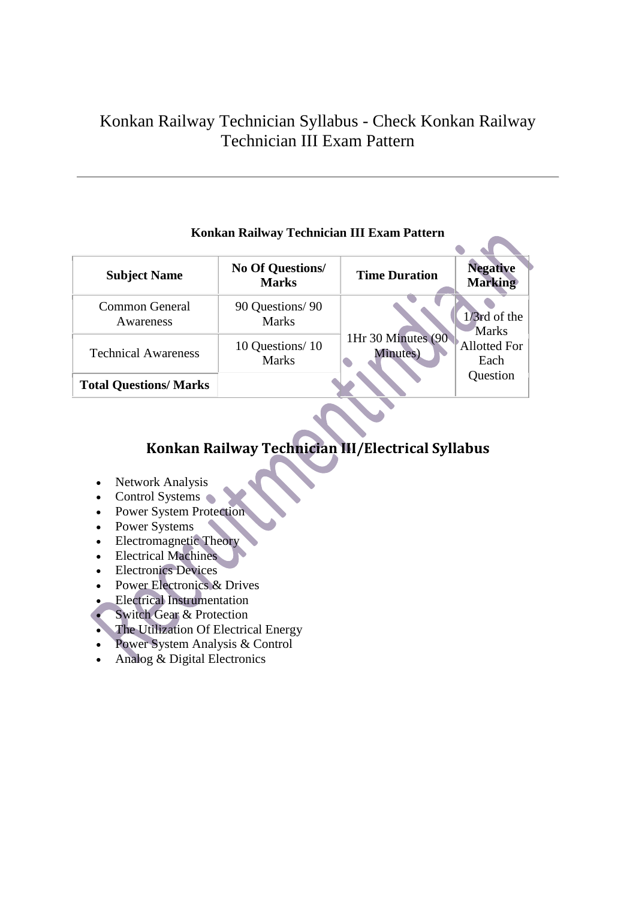# Konkan Railway Technician Syllabus - Check Konkan Railway Technician III Exam Pattern

| <b>Subject Name</b>          | <b>No Of Questions/</b><br><b>Marks</b> | <b>Time Duration</b> | <b>Negative</b><br><b>Marking</b> |
|------------------------------|-----------------------------------------|----------------------|-----------------------------------|
| <b>Common General</b>        | 90 Questions/90                         |                      | $1/3$ rd of the                   |
| Awareness                    | <b>Marks</b>                            |                      | <b>Marks</b>                      |
| <b>Technical Awareness</b>   | 10 Questions/10                         | 1Hr 30 Minutes (90   | Allotted For                      |
|                              | <b>Marks</b>                            | Minutes)             | Each                              |
| <b>Total Questions/Marks</b> |                                         |                      | Question                          |

### **Konkan Railway Technician III Exam Pattern**

## **Konkan Railway Technician III/Electrical Syllabus**

- Network Analysis
- $\bullet$  Control Systems
- Power System Protection
- Power Systems
- Electromagnetic Theory
- Electrical Machines
- **Electronics Devices**
- Power Electronics & Drives
- Electrical Instrumentation
- Switch Gear & Protection
- The Utilization Of Electrical Energy
- Power System Analysis & Control
- Analog & Digital Electronics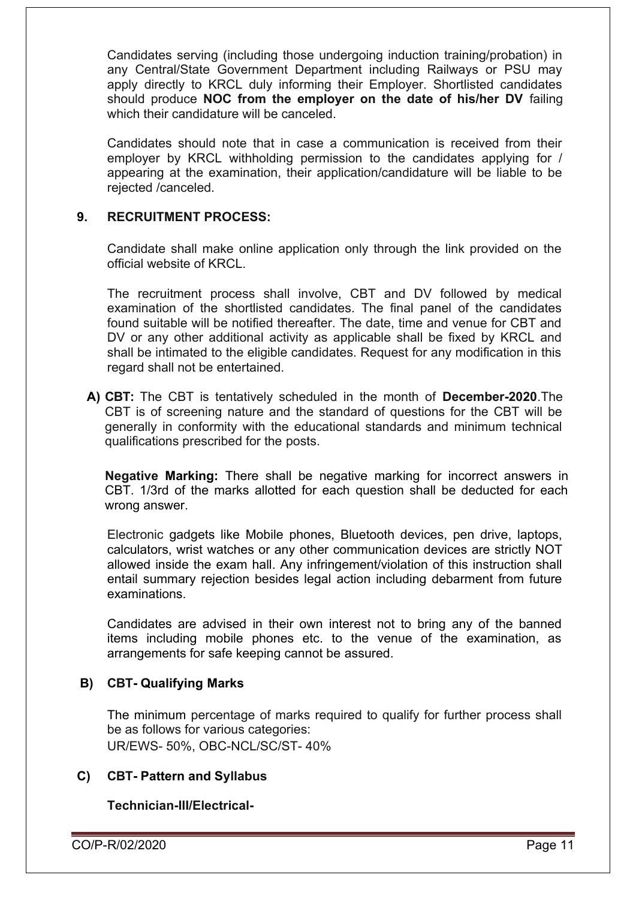Candidates serving (including those undergoing induction training/probation) in any Central/State Government Department including Railways or PSU may apply directly to KRCL duly informing their Employer. Shortlisted candidates should produce **NOC from the employer on the date of his/her DV** failing which their candidature will be canceled.

Candidates should note that in case a communication is received from their employer by KRCL withholding permission to the candidates applying for / appearing at the examination, their application/candidature will be liable to be rejected /canceled.

#### **9. RECRUITMENT PROCESS:**

Candidate shall make online application only through the link provided on the official website of KRCL.

The recruitment process shall involve, CBT and DV followed by medical examination of the shortlisted candidates. The final panel of the candidates found suitable will be notified thereafter. The date, time and venue for CBT and DV or any other additional activity as applicable shall be fixed by KRCL and shall be intimated to the eligible candidates. Request for any modification in this regard shall not be entertained.

**A) CBT:** The CBT is tentatively scheduled in the month of **December-2020**.The CBT is of screening nature and the standard of questions for the CBT will be generally in conformity with the educational standards and minimum technical qualifications prescribed for the posts.

**Negative Marking:** There shall be negative marking for incorrect answers in CBT. 1/3rd of the marks allotted for each question shall be deducted for each wrong answer.

Electronic gadgets like Mobile phones, Bluetooth devices, pen drive, laptops, calculators, wrist watches or any other communication devices are strictly NOT allowed inside the exam hall. Any infringement/violation of this instruction shall entail summary rejection besides legal action including debarment from future examinations.

Candidates are advised in their own interest not to bring any of the banned items including mobile phones etc. to the venue of the examination, as arrangements for safe keeping cannot be assured.

#### **B) CBT- Qualifying Marks**

The minimum percentage of marks required to qualify for further process shall be as follows for various categories: UR/EWS- 50%, OBC-NCL/SC/ST- 40%

#### **C) CBT- Pattern and Syllabus**

**Technician-III/Electrical-**

CO/P-R/02/2020 Page 11